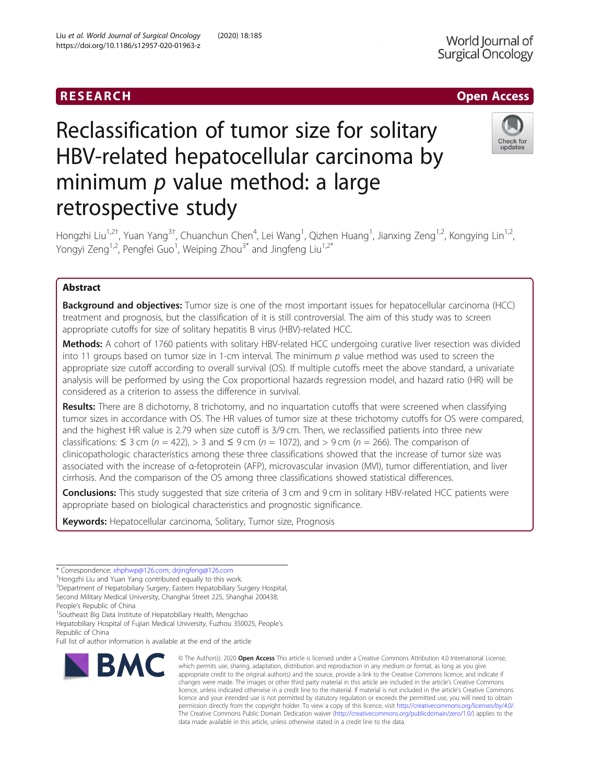retrospective study

Reclassification of tumor size for solitary

HBV-related hepatocellular carcinoma by

minimum  $p$  value method: a large

# RESEARCH **RESEARCH CHOOSE ACCESS**

# Check for updates

Hongzhi Liu<sup>1,2†</sup>, Yuan Yang<sup>3†</sup>, Chuanchun Chen<sup>4</sup>, Lei Wang<sup>1</sup>, Qizhen Huang<sup>1</sup>, Jianxing Zeng<sup>1,2</sup>, Kongying Lin<sup>1,2</sup>, Yongyi Zeng<sup>1,2</sup>, Pengfei Guo<sup>1</sup>, Weiping Zhou<sup>3\*</sup> and Jingfeng Liu<sup>1,2\*</sup>

# Abstract

**Background and objectives:** Tumor size is one of the most important issues for hepatocellular carcinoma (HCC) treatment and prognosis, but the classification of it is still controversial. The aim of this study was to screen appropriate cutoffs for size of solitary hepatitis B virus (HBV)-related HCC.

Methods: A cohort of 1760 patients with solitary HBV-related HCC undergoing curative liver resection was divided into 11 groups based on tumor size in 1-cm interval. The minimum  $p$  value method was used to screen the appropriate size cutoff according to overall survival (OS). If multiple cutoffs meet the above standard, a univariate analysis will be performed by using the Cox proportional hazards regression model, and hazard ratio (HR) will be considered as a criterion to assess the difference in survival.

Results: There are 8 dichotomy, 8 trichotomy, and no inquartation cutoffs that were screened when classifying tumor sizes in accordance with OS. The HR values of tumor size at these trichotomy cutoffs for OS were compared, and the highest HR value is 2.79 when size cutoff is 3/9 cm. Then, we reclassified patients into three new classifications:  $\leq 3$  cm (n = 422), > 3 and  $\leq 9$  cm (n = 1072), and > 9 cm (n = 266). The comparison of clinicopathologic characteristics among these three classifications showed that the increase of tumor size was associated with the increase of α-fetoprotein (AFP), microvascular invasion (MVI), tumor differentiation, and liver cirrhosis. And the comparison of the OS among three classifications showed statistical differences.

Conclusions: This study suggested that size criteria of 3 cm and 9 cm in solitary HBV-related HCC patients were appropriate based on biological characteristics and prognostic significance.

Keywords: Hepatocellular carcinoma, Solitary, Tumor size, Prognosis

\* Correspondence: [ehphwp@126.com](mailto:ehphwp@126.com); [drjingfeng@126.com](mailto:drjingfeng@126.com) †

<sup>3</sup>Department of Hepatobiliary Surgery, Eastern Hepatobiliary Surgery Hospital, Second Military Medical University, Changhai Street 225, Shanghai 200438, People's Republic of China

<sup>1</sup> Southeast Big Data Institute of Hepatobiliary Health, Mengchao

Hepatobiliary Hospital of Fujian Medical University, Fuzhou 350025, People's Republic of China

Full list of author information is available at the end of the article



<sup>©</sup> The Author(s), 2020 **Open Access** This article is licensed under a Creative Commons Attribution 4.0 International License, which permits use, sharing, adaptation, distribution and reproduction in any medium or format, as long as you give appropriate credit to the original author(s) and the source, provide a link to the Creative Commons licence, and indicate if changes were made. The images or other third party material in this article are included in the article's Creative Commons licence, unless indicated otherwise in a credit line to the material. If material is not included in the article's Creative Commons licence and your intended use is not permitted by statutory regulation or exceeds the permitted use, you will need to obtain permission directly from the copyright holder. To view a copy of this licence, visit [http://creativecommons.org/licenses/by/4.0/.](http://creativecommons.org/licenses/by/4.0/) The Creative Commons Public Domain Dedication waiver [\(http://creativecommons.org/publicdomain/zero/1.0/](http://creativecommons.org/publicdomain/zero/1.0/)) applies to the data made available in this article, unless otherwise stated in a credit line to the data.

Hongzhi Liu and Yuan Yang contributed equally to this work.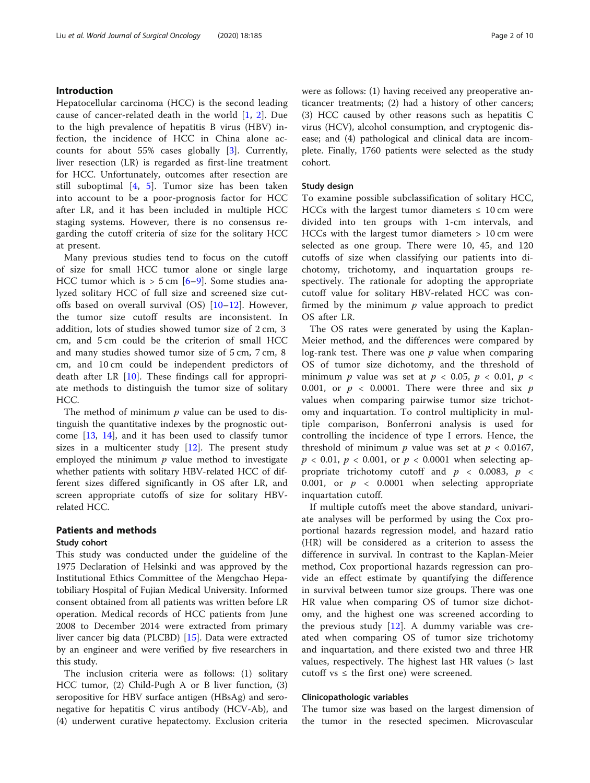## Introduction

Hepatocellular carcinoma (HCC) is the second leading cause of cancer-related death in the world [\[1](#page-8-0), [2\]](#page-8-0). Due to the high prevalence of hepatitis B virus (HBV) infection, the incidence of HCC in China alone accounts for about 55% cases globally [\[3](#page-8-0)]. Currently, liver resection (LR) is regarded as first-line treatment for HCC. Unfortunately, outcomes after resection are still suboptimal [[4](#page-8-0), [5\]](#page-8-0). Tumor size has been taken into account to be a poor-prognosis factor for HCC after LR, and it has been included in multiple HCC staging systems. However, there is no consensus regarding the cutoff criteria of size for the solitary HCC at present.

Many previous studies tend to focus on the cutoff of size for small HCC tumor alone or single large HCC tumor which is  $> 5$  cm  $[6-9]$  $[6-9]$  $[6-9]$  $[6-9]$ . Some studies analyzed solitary HCC of full size and screened size cutoffs based on overall survival (OS) [\[10](#page-8-0)–[12](#page-8-0)]. However, the tumor size cutoff results are inconsistent. In addition, lots of studies showed tumor size of 2 cm, 3 cm, and 5 cm could be the criterion of small HCC and many studies showed tumor size of 5 cm, 7 cm, 8 cm, and 10 cm could be independent predictors of death after LR [[10\]](#page-8-0). These findings call for appropriate methods to distinguish the tumor size of solitary HCC.

The method of minimum  $p$  value can be used to distinguish the quantitative indexes by the prognostic outcome [[13](#page-8-0), [14](#page-8-0)], and it has been used to classify tumor sizes in a multicenter study [[12](#page-8-0)]. The present study employed the minimum  $p$  value method to investigate whether patients with solitary HBV-related HCC of different sizes differed significantly in OS after LR, and screen appropriate cutoffs of size for solitary HBVrelated HCC.

# Patients and methods

## Study cohort

This study was conducted under the guideline of the 1975 Declaration of Helsinki and was approved by the Institutional Ethics Committee of the Mengchao Hepatobiliary Hospital of Fujian Medical University. Informed consent obtained from all patients was written before LR operation. Medical records of HCC patients from June 2008 to December 2014 were extracted from primary liver cancer big data (PLCBD) [[15](#page-8-0)]. Data were extracted by an engineer and were verified by five researchers in this study.

The inclusion criteria were as follows: (1) solitary HCC tumor, (2) Child-Pugh A or B liver function, (3) seropositive for HBV surface antigen (HBsAg) and seronegative for hepatitis C virus antibody (HCV-Ab), and (4) underwent curative hepatectomy. Exclusion criteria were as follows: (1) having received any preoperative anticancer treatments; (2) had a history of other cancers; (3) HCC caused by other reasons such as hepatitis C virus (HCV), alcohol consumption, and cryptogenic disease; and (4) pathological and clinical data are incomplete. Finally, 1760 patients were selected as the study cohort.

#### Study design

To examine possible subclassification of solitary HCC, HCCs with the largest tumor diameters  $\leq 10$  cm were divided into ten groups with 1-cm intervals, and HCCs with the largest tumor diameters > 10 cm were selected as one group. There were 10, 45, and 120 cutoffs of size when classifying our patients into dichotomy, trichotomy, and inquartation groups respectively. The rationale for adopting the appropriate cutoff value for solitary HBV-related HCC was confirmed by the minimum  $p$  value approach to predict OS after LR.

The OS rates were generated by using the Kaplan-Meier method, and the differences were compared by log-rank test. There was one  $p$  value when comparing OS of tumor size dichotomy, and the threshold of minimum *p* value was set at  $p < 0.05$ ,  $p < 0.01$ ,  $p <$ 0.001, or  $p \lt 0.0001$ . There were three and six p values when comparing pairwise tumor size trichotomy and inquartation. To control multiplicity in multiple comparison, Bonferroni analysis is used for controlling the incidence of type I errors. Hence, the threshold of minimum  $p$  value was set at  $p < 0.0167$ ,  $p < 0.01$ ,  $p < 0.001$ , or  $p < 0.0001$  when selecting appropriate trichotomy cutoff and  $p \lt 0.0083$ ,  $p \lt 0.0083$ 0.001, or  $p \lt 0.0001$  when selecting appropriate inquartation cutoff.

If multiple cutoffs meet the above standard, univariate analyses will be performed by using the Cox proportional hazards regression model, and hazard ratio (HR) will be considered as a criterion to assess the difference in survival. In contrast to the Kaplan-Meier method, Cox proportional hazards regression can provide an effect estimate by quantifying the difference in survival between tumor size groups. There was one HR value when comparing OS of tumor size dichotomy, and the highest one was screened according to the previous study  $[12]$  $[12]$ . A dummy variable was created when comparing OS of tumor size trichotomy and inquartation, and there existed two and three HR values, respectively. The highest last HR values (> last cutoff vs  $\leq$  the first one) were screened.

#### Clinicopathologic variables

The tumor size was based on the largest dimension of the tumor in the resected specimen. Microvascular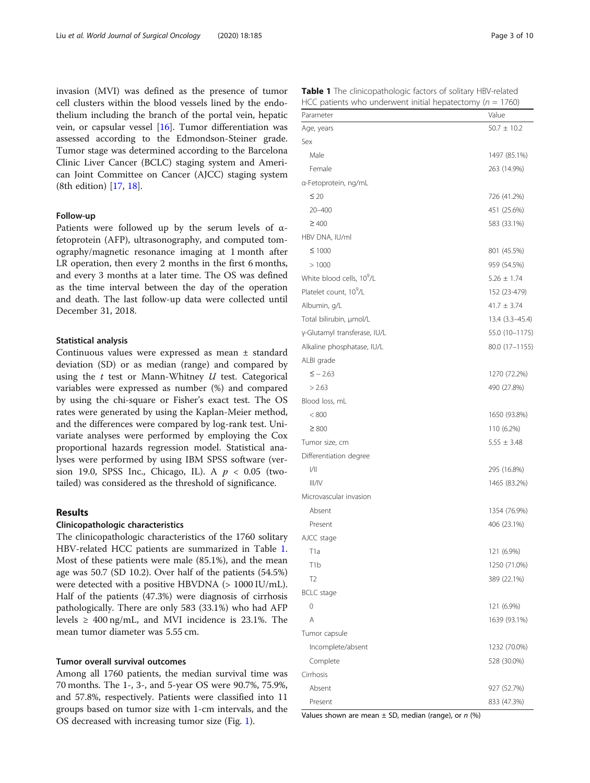invasion (MVI) was defined as the presence of tumor cell clusters within the blood vessels lined by the endothelium including the branch of the portal vein, hepatic vein, or capsular vessel [\[16](#page-8-0)]. Tumor differentiation was assessed according to the Edmondson-Steiner grade. Tumor stage was determined according to the Barcelona Clinic Liver Cancer (BCLC) staging system and American Joint Committee on Cancer (AJCC) staging system (8th edition) [[17,](#page-8-0) [18\]](#page-8-0).

#### Follow-up

Patients were followed up by the serum levels of αfetoprotein (AFP), ultrasonography, and computed tomography/magnetic resonance imaging at 1 month after LR operation, then every 2 months in the first 6 months, and every 3 months at a later time. The OS was defined as the time interval between the day of the operation and death. The last follow-up data were collected until December 31, 2018.

#### Statistical analysis

Continuous values were expressed as mean ± standard deviation (SD) or as median (range) and compared by using the  $t$  test or Mann-Whitney  $U$  test. Categorical variables were expressed as number (%) and compared by using the chi-square or Fisher's exact test. The OS rates were generated by using the Kaplan-Meier method, and the differences were compared by log-rank test. Univariate analyses were performed by employing the Cox proportional hazards regression model. Statistical analyses were performed by using IBM SPSS software (version 19.0, SPSS Inc., Chicago, IL). A  $p < 0.05$  (twotailed) was considered as the threshold of significance.

# Results

#### Clinicopathologic characteristics

The clinicopathologic characteristics of the 1760 solitary HBV-related HCC patients are summarized in Table 1. Most of these patients were male (85.1%), and the mean age was 50.7 (SD 10.2). Over half of the patients (54.5%) were detected with a positive HBVDNA (> 1000 IU/mL). Half of the patients (47.3%) were diagnosis of cirrhosis pathologically. There are only 583 (33.1%) who had AFP levels  $\geq 400 \text{ ng/mL}$ , and MVI incidence is 23.1%. The mean tumor diameter was 5.55 cm.

#### Tumor overall survival outcomes

Among all 1760 patients, the median survival time was 70 months. The 1-, 3-, and 5-year OS were 90.7%, 75.9%, and 57.8%, respectively. Patients were classified into 11 groups based on tumor size with 1-cm intervals, and the OS decreased with increasing tumor size (Fig. [1](#page-3-0)).

|  | $-1$<br>M.<br>$\sim$<br>۰.<br>۰.<br>- | -<br>$\sim$ | . .<br>$\sim$ | ÷ |
|--|---------------------------------------|-------------|---------------|---|
|  |                                       |             |               |   |
|  |                                       |             |               |   |
|  |                                       |             |               |   |

Table 1 The clinicopathologic factors of solitary HBV-related HCC patients who underwent initial hepatectomy ( $n = 1760$ )

| rice patients who anaerwent initial nepatectority<br>Parameter | Value           |
|----------------------------------------------------------------|-----------------|
| Age, years                                                     | $50.7 \pm 10.2$ |
| Sex                                                            |                 |
| Male                                                           | 1497 (85.1%)    |
| Female                                                         | 263 (14.9%)     |
| a-Fetoprotein, ng/mL                                           |                 |
| $\leq 20$                                                      | 726 (41.2%)     |
| $20 - 400$                                                     | 451 (25.6%)     |
| $\geq 400$                                                     | 583 (33.1%)     |
| HBV DNA, IU/ml                                                 |                 |
| $≤ 1000$                                                       | 801 (45.5%)     |
| >1000                                                          | 959 (54.5%)     |
| White blood cells, 10 <sup>9</sup> /L                          | $5.26 \pm 1.74$ |
| Platelet count, 10 <sup>9</sup> /L                             | 152 (23-479)    |
| Albumin, g/L                                                   | $41.7 \pm 3.74$ |
| Total bilirubin, µmol/L                                        | 13.4 (3.3-45.4) |
| y-Glutamyl transferase, IU/L                                   | 55.0 (10-1175)  |
| Alkaline phosphatase, IU/L                                     | 80.0 (17-1155)  |
| ALBI grade                                                     |                 |
| $\le -2.63$                                                    | 1270 (72.2%)    |
| > 2.63                                                         | 490 (27.8%)     |
| Blood loss, mL                                                 |                 |
| < 800                                                          | 1650 (93.8%)    |
| $\geq 800$                                                     | 110 (6.2%)      |
| Tumor size, cm                                                 | $5.55 \pm 3.48$ |
| Differentiation degree                                         |                 |
| 1/11                                                           | 295 (16.8%)     |
| III/IV                                                         | 1465 (83.2%)    |
| Microvascular invasion                                         |                 |
| Absent                                                         | 1354 (76.9%)    |
| Present                                                        | 406 (23.1%)     |
| AJCC stage                                                     |                 |
| T1a                                                            | 121 (6.9%)      |
| T <sub>1</sub> b                                               | 1250 (71.0%)    |
| T <sub>2</sub>                                                 | 389 (22.1%)     |
| <b>BCLC</b> stage                                              |                 |
| 0                                                              | 121 (6.9%)      |
| A                                                              | 1639 (93.1%)    |
| Tumor capsule                                                  |                 |
| Incomplete/absent                                              | 1232 (70.0%)    |
| Complete                                                       | 528 (30.0%)     |
| Cirrhosis                                                      |                 |
| Absent                                                         | 927 (52.7%)     |
| Present                                                        | 833 (47.3%)     |

Values shown are mean  $\pm$  SD, median (range), or n (%)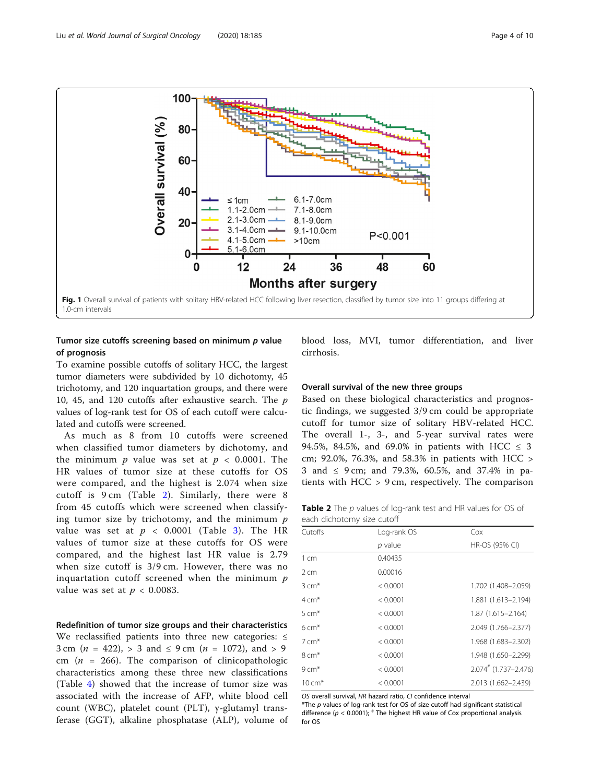<span id="page-3-0"></span>

# Tumor size cutoffs screening based on minimum  $p$  value of prognosis

To examine possible cutoffs of solitary HCC, the largest tumor diameters were subdivided by 10 dichotomy, 45 trichotomy, and 120 inquartation groups, and there were 10, 45, and 120 cutoffs after exhaustive search. The p values of log-rank test for OS of each cutoff were calculated and cutoffs were screened.

As much as 8 from 10 cutoffs were screened when classified tumor diameters by dichotomy, and the minimum  $p$  value was set at  $p < 0.0001$ . The HR values of tumor size at these cutoffs for OS were compared, and the highest is 2.074 when size cutoff is 9 cm (Table 2). Similarly, there were 8 from 45 cutoffs which were screened when classifying tumor size by trichotomy, and the minimum  $p$ value was set at  $p < 0.0001$  (Table [3\)](#page-4-0). The HR values of tumor size at these cutoffs for OS were compared, and the highest last HR value is 2.79 when size cutoff is 3/9 cm. However, there was no inquartation cutoff screened when the minimum  $p$ value was set at  $p < 0.0083$ .

# Redefinition of tumor size groups and their characteristics

We reclassified patients into three new categories: ≤ 3 cm ( $n = 422$ ), > 3 and  $\leq$  9 cm ( $n = 1072$ ), and > 9 cm ( $n = 266$ ). The comparison of clinicopathologic characteristics among these three new classifications (Table [4\)](#page-6-0) showed that the increase of tumor size was associated with the increase of AFP, white blood cell count (WBC), platelet count (PLT), γ-glutamyl transferase (GGT), alkaline phosphatase (ALP), volume of blood loss, MVI, tumor differentiation, and liver cirrhosis.

### Overall survival of the new three groups

Based on these biological characteristics and prognostic findings, we suggested 3/9 cm could be appropriate cutoff for tumor size of solitary HBV-related HCC. The overall 1-, 3-, and 5-year survival rates were 94.5%, 84.5%, and 69.0% in patients with HCC  $\leq$  3 cm; 92.0%, 76.3%, and 58.3% in patients with HCC > 3 and ≤ 9 cm; and 79.3%, 60.5%, and 37.4% in patients with HCC > 9 cm, respectively. The comparison

Table 2 The p values of log-rank test and HR values for OS of each dichotomy size cutoff

| Cox                                |
|------------------------------------|
| HR-OS (95% CI)                     |
|                                    |
|                                    |
| 1.702 (1.408-2.059)                |
| 1.881 (1.613-2.194)                |
| 1.87 (1.615-2.164)                 |
| 2.049 (1.766-2.377)                |
| 1.968 (1.683-2.302)                |
| 1.948 (1.650-2.299)                |
| $2.074$ <sup>#</sup> (1.737-2.476) |
| 2.013 (1.662-2.439)                |
|                                    |

OS overall survival, HR hazard ratio, CI confidence interval

 $*$ The  $p$  values of log-rank test for OS of size cutoff had significant statistical difference ( $p < 0.0001$ );  $*$  The highest HR value of Cox proportional analysis for OS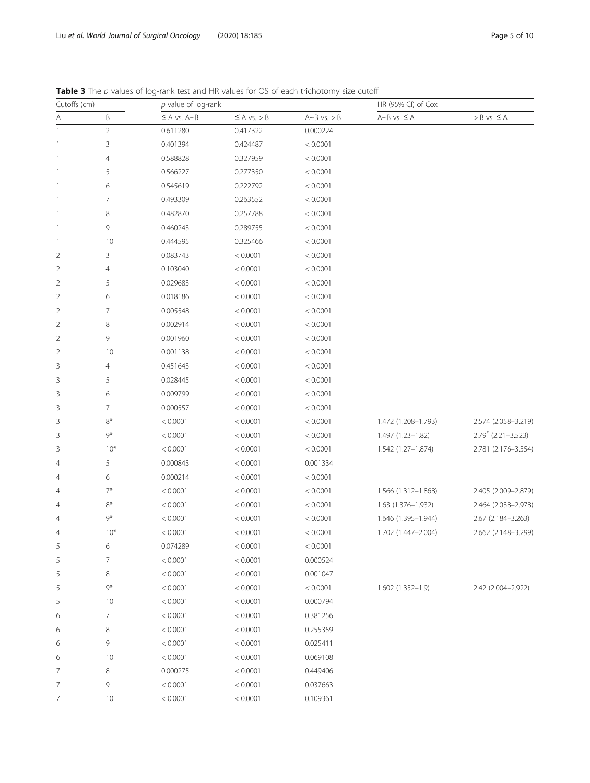<span id="page-4-0"></span>Table 3 The p values of log-rank test and HR values for OS of each trichotomy size cutoff

| Cutoffs (cm)             |                | $p$ value of log-rank |                    |                      | HR (95% CI) of Cox      |                                  |  |
|--------------------------|----------------|-----------------------|--------------------|----------------------|-------------------------|----------------------------------|--|
| Α                        | B              | $\leq$ A vs. A~B      | $\leq A$ vs. $> B$ | $A \sim B$ vs. $> B$ | $A \sim B$ vs. $\leq A$ | $> B$ vs. $\leq A$               |  |
| $\mathbf{1}$             | $\sqrt{2}$     | 0.611280              | 0.417322           | 0.000224             |                         |                                  |  |
| $\overline{\phantom{a}}$ | 3              | 0.401394              | 0.424487           | < 0.0001             |                         |                                  |  |
| $\overline{\phantom{a}}$ | 4              | 0.588828              | 0.327959           | < 0.0001             |                         |                                  |  |
| $\overline{\phantom{a}}$ | 5              | 0.566227              | 0.277350           | < 0.0001             |                         |                                  |  |
| $\overline{\phantom{a}}$ | 6              | 0.545619              | 0.222792           | < 0.0001             |                         |                                  |  |
| $\overline{\phantom{a}}$ | 7              | 0.493309              | 0.263552           | < 0.0001             |                         |                                  |  |
| $\overline{\phantom{a}}$ | 8              | 0.482870              | 0.257788           | < 0.0001             |                         |                                  |  |
| $\overline{\phantom{a}}$ | 9              | 0.460243              | 0.289755           | < 0.0001             |                         |                                  |  |
| $\overline{\phantom{a}}$ | 10             | 0.444595              | 0.325466           | < 0.0001             |                         |                                  |  |
| 2                        | 3              | 0.083743              | < 0.0001           | < 0.0001             |                         |                                  |  |
| $\overline{2}$           | 4              | 0.103040              | < 0.0001           | < 0.0001             |                         |                                  |  |
| $\overline{2}$           | 5              | 0.029683              | < 0.0001           | < 0.0001             |                         |                                  |  |
| $\overline{2}$           | 6              | 0.018186              | < 0.0001           | < 0.0001             |                         |                                  |  |
| $\overline{2}$           | 7              | 0.005548              | < 0.0001           | < 0.0001             |                         |                                  |  |
| $\overline{2}$           | 8              | 0.002914              | < 0.0001           | < 0.0001             |                         |                                  |  |
| $\overline{2}$           | 9              | 0.001960              | < 0.0001           | < 0.0001             |                         |                                  |  |
| $\overline{2}$           | 10             | 0.001138              | < 0.0001           | < 0.0001             |                         |                                  |  |
| 3                        | 4              | 0.451643              | < 0.0001           | < 0.0001             |                         |                                  |  |
| 3                        | 5              | 0.028445              | < 0.0001           | < 0.0001             |                         |                                  |  |
| 3                        | 6              | 0.009799              | < 0.0001           | < 0.0001             |                         |                                  |  |
| 3                        | 7              | 0.000557              | < 0.0001           | < 0.0001             |                         |                                  |  |
| 3                        | $8*$           | < 0.0001              | < 0.0001           | < 0.0001             | 1.472 (1.208-1.793)     | 2.574 (2.058-3.219)              |  |
| 3                        | $9*$           | < 0.0001              | < 0.0001           | < 0.0001             | 1.497 (1.23-1.82)       | $2.79$ <sup>#</sup> (2.21-3.523) |  |
| 3                        | $10*$          | < 0.0001              | < 0.0001           | < 0.0001             | 1.542 (1.27-1.874)      | 2.781 (2.176-3.554)              |  |
| $\overline{4}$           | 5              | 0.000843              | < 0.0001           | 0.001334             |                         |                                  |  |
| 4                        | 6              | 0.000214              | < 0.0001           | < 0.0001             |                         |                                  |  |
| 4                        | $7^*$          | < 0.0001              | < 0.0001           | < 0.0001             | 1.566 (1.312-1.868)     | 2.405 (2.009-2.879)              |  |
| 4                        | $8*$           | < 0.0001              | < 0.0001           | < 0.0001             | 1.63 (1.376-1.932)      | 2.464 (2.038-2.978)              |  |
| 4                        | 9*             | < 0.0001              | < 0.0001           | < 0.0001             | 1.646 (1.395-1.944)     | 2.67 (2.184-3.263)               |  |
| 4                        | $10*$          | < 0.0001              | < 0.0001           | < 0.0001             | 1.702 (1.447-2.004)     | 2.662 (2.148-3.299)              |  |
| 5                        | 6              | 0.074289              | < 0.0001           | < 0.0001             |                         |                                  |  |
| 5                        | 7              | < 0.0001              | < 0.0001           | 0.000524             |                         |                                  |  |
| 5                        | 8              | < 0.0001              | < 0.0001           | 0.001047             |                         |                                  |  |
| 5                        | $9*$           | < 0.0001              | < 0.0001           | < 0.0001             | 1.602 (1.352-1.9)       | 2.42 (2.004-2.922)               |  |
| 5                        | 10             | < 0.0001              | < 0.0001           | 0.000794             |                         |                                  |  |
| 6                        | $\overline{7}$ | < 0.0001              | < 0.0001           | 0.381256             |                         |                                  |  |
| 6                        | 8              | < 0.0001              | < 0.0001           | 0.255359             |                         |                                  |  |
| 6                        | 9              | < 0.0001              | < 0.0001           | 0.025411             |                         |                                  |  |
| 6                        | 10             | < 0.0001              | < 0.0001           | 0.069108             |                         |                                  |  |
| 7                        | 8              | 0.000275              | < 0.0001           | 0.449406             |                         |                                  |  |
| 7                        | 9              | < 0.0001              | < 0.0001           | 0.037663             |                         |                                  |  |
| 7                        | 10             | < 0.0001              | < 0.0001           | 0.109361             |                         |                                  |  |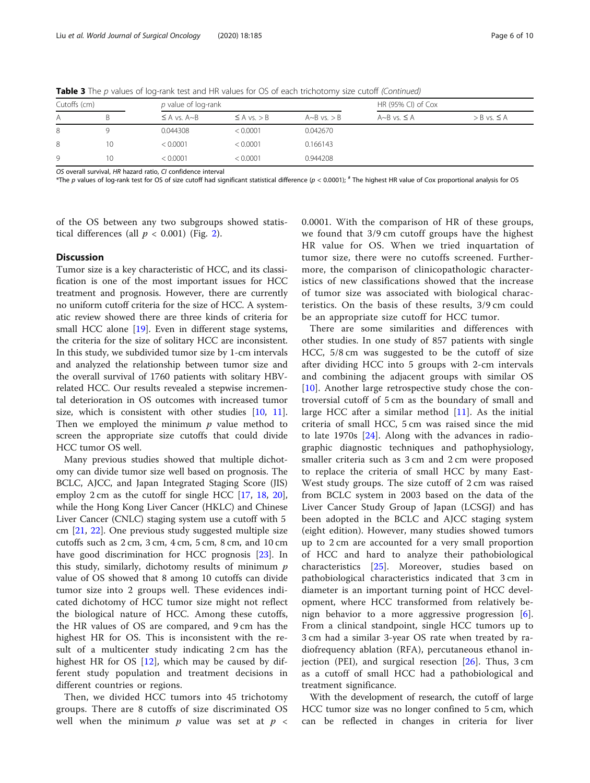| Cutoffs (cm) |    | p value of log-rank |                    |                      | HR (95% CI) of Cox      |                    |
|--------------|----|---------------------|--------------------|----------------------|-------------------------|--------------------|
| Α            | B  | $\leq$ A vs. A~B    | $\leq$ A vs. $>$ B | $A \sim B$ vs. $> B$ | $A \sim B$ vs. $\leq A$ | $>$ B vs. $\leq$ A |
| 8            |    | 0.044308            | < 0.0001           | 0.042670             |                         |                    |
| 8            | 10 | < 0.0001            | < 0.0001           | 0.166143             |                         |                    |
| Q            | 10 | < 0.0001            | < 0.0001           | 0.944208             |                         |                    |

Table 3 The p values of log-rank test and HR values for OS of each trichotomy size cutoff (Continued)

OS overall survival, HR hazard ratio, CI confidence interval

\*The p values of log-rank test for OS of size cutoff had significant statistical difference (p < 0.0001);  $*$  The highest HR value of Cox proportional analysis for OS

of the OS between any two subgroups showed statistical differences (all  $p < 0.001$ ) (Fig. [2\)](#page-7-0).

#### **Discussion**

Tumor size is a key characteristic of HCC, and its classification is one of the most important issues for HCC treatment and prognosis. However, there are currently no uniform cutoff criteria for the size of HCC. A systematic review showed there are three kinds of criteria for small HCC alone [\[19\]](#page-8-0). Even in different stage systems, the criteria for the size of solitary HCC are inconsistent. In this study, we subdivided tumor size by 1-cm intervals and analyzed the relationship between tumor size and the overall survival of 1760 patients with solitary HBVrelated HCC. Our results revealed a stepwise incremental deterioration in OS outcomes with increased tumor size, which is consistent with other studies [[10](#page-8-0), [11](#page-8-0)]. Then we employed the minimum  $p$  value method to screen the appropriate size cutoffs that could divide HCC tumor OS well.

Many previous studies showed that multiple dichotomy can divide tumor size well based on prognosis. The BCLC, AJCC, and Japan Integrated Staging Score (JIS) employ 2 cm as the cutoff for single HCC [\[17,](#page-8-0) [18](#page-8-0), [20](#page-8-0)], while the Hong Kong Liver Cancer (HKLC) and Chinese Liver Cancer (CNLC) staging system use a cutoff with 5 cm [\[21,](#page-8-0) [22](#page-9-0)]. One previous study suggested multiple size cutoffs such as 2 cm, 3 cm, 4 cm, 5 cm, 8 cm, and 10 cm have good discrimination for HCC prognosis [\[23](#page-9-0)]. In this study, similarly, dichotomy results of minimum  $p$ value of OS showed that 8 among 10 cutoffs can divide tumor size into 2 groups well. These evidences indicated dichotomy of HCC tumor size might not reflect the biological nature of HCC. Among these cutoffs, the HR values of OS are compared, and 9 cm has the highest HR for OS. This is inconsistent with the result of a multicenter study indicating 2 cm has the highest HR for OS  $[12]$  $[12]$ , which may be caused by different study population and treatment decisions in different countries or regions.

Then, we divided HCC tumors into 45 trichotomy groups. There are 8 cutoffs of size discriminated OS well when the minimum  $p$  value was set at  $p \leq$  0.0001. With the comparison of HR of these groups, we found that 3/9 cm cutoff groups have the highest HR value for OS. When we tried inquartation of tumor size, there were no cutoffs screened. Furthermore, the comparison of clinicopathologic characteristics of new classifications showed that the increase of tumor size was associated with biological characteristics. On the basis of these results, 3/9 cm could be an appropriate size cutoff for HCC tumor.

There are some similarities and differences with other studies. In one study of 857 patients with single HCC, 5/8 cm was suggested to be the cutoff of size after dividing HCC into 5 groups with 2-cm intervals and combining the adjacent groups with similar OS [[10\]](#page-8-0). Another large retrospective study chose the controversial cutoff of 5 cm as the boundary of small and large HCC after a similar method  $[11]$  $[11]$ . As the initial criteria of small HCC, 5 cm was raised since the mid to late 1970s [[24\]](#page-9-0). Along with the advances in radiographic diagnostic techniques and pathophysiology, smaller criteria such as 3 cm and 2 cm were proposed to replace the criteria of small HCC by many East-West study groups. The size cutoff of 2 cm was raised from BCLC system in 2003 based on the data of the Liver Cancer Study Group of Japan (LCSGJ) and has been adopted in the BCLC and AJCC staging system (eight edition). However, many studies showed tumors up to 2 cm are accounted for a very small proportion of HCC and hard to analyze their pathobiological characteristics [\[25](#page-9-0)]. Moreover, studies based on pathobiological characteristics indicated that 3 cm in diameter is an important turning point of HCC development, where HCC transformed from relatively benign behavior to a more aggressive progression [\[6](#page-8-0)]. From a clinical standpoint, single HCC tumors up to 3 cm had a similar 3-year OS rate when treated by radiofrequency ablation (RFA), percutaneous ethanol injection (PEI), and surgical resection  $[26]$  $[26]$ . Thus, 3 cm as a cutoff of small HCC had a pathobiological and treatment significance.

With the development of research, the cutoff of large HCC tumor size was no longer confined to 5 cm, which can be reflected in changes in criteria for liver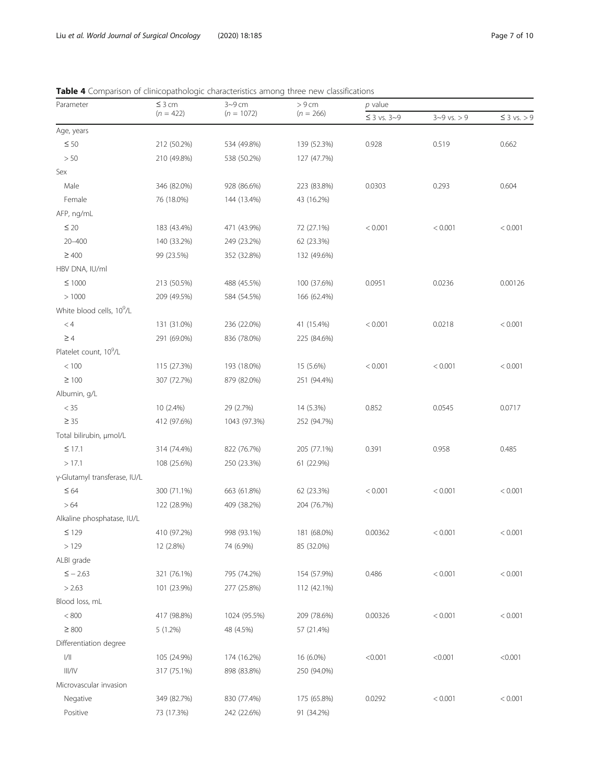# <span id="page-6-0"></span>Table 4 Comparison of clinicopathologic characteristics among three new classifications

| Parameter                             | $\leq$ 3 cm<br>$(n = 422)$ | $3 - 9$ cm   | > 9 cm      | p value          |                   |                  |  |
|---------------------------------------|----------------------------|--------------|-------------|------------------|-------------------|------------------|--|
|                                       |                            | $(n = 1072)$ | $(n = 266)$ | $\leq$ 3 vs. 3~9 | $3 - 9$ vs. $> 9$ | $\leq$ 3 vs. > 9 |  |
| Age, years                            |                            |              |             |                  |                   |                  |  |
| $\leq 50$                             | 212 (50.2%)                | 534 (49.8%)  | 139 (52.3%) | 0.928            | 0.519             | 0.662            |  |
| > 50                                  | 210 (49.8%)                | 538 (50.2%)  | 127 (47.7%) |                  |                   |                  |  |
| Sex                                   |                            |              |             |                  |                   |                  |  |
| Male                                  | 346 (82.0%)                | 928 (86.6%)  | 223 (83.8%) | 0.0303           | 0.293             | 0.604            |  |
| Female                                | 76 (18.0%)                 | 144 (13.4%)  | 43 (16.2%)  |                  |                   |                  |  |
| AFP, ng/mL                            |                            |              |             |                  |                   |                  |  |
| $\leq$ 20                             | 183 (43.4%)                | 471 (43.9%)  | 72 (27.1%)  | < 0.001          | < 0.001           | < 0.001          |  |
| $20 - 400$                            | 140 (33.2%)                | 249 (23.2%)  | 62 (23.3%)  |                  |                   |                  |  |
| $\geq 400$                            | 99 (23.5%)                 | 352 (32.8%)  | 132 (49.6%) |                  |                   |                  |  |
| HBV DNA, IU/ml                        |                            |              |             |                  |                   |                  |  |
| $\leq 1000$                           | 213 (50.5%)                | 488 (45.5%)  | 100 (37.6%) | 0.0951           | 0.0236            | 0.00126          |  |
| >1000                                 | 209 (49.5%)                | 584 (54.5%)  | 166 (62.4%) |                  |                   |                  |  |
| White blood cells, 10 <sup>9</sup> /L |                            |              |             |                  |                   |                  |  |
| < 4                                   | 131 (31.0%)                | 236 (22.0%)  | 41 (15.4%)  | < 0.001          | 0.0218            | < 0.001          |  |
| $\geq 4$                              | 291 (69.0%)                | 836 (78.0%)  | 225 (84.6%) |                  |                   |                  |  |
| Platelet count, 10 <sup>9</sup> /L    |                            |              |             |                  |                   |                  |  |
| $<100$                                | 115 (27.3%)                | 193 (18.0%)  | 15 (5.6%)   | < 0.001          | < 0.001           | < 0.001          |  |
| $\geq 100$                            | 307 (72.7%)                | 879 (82.0%)  | 251 (94.4%) |                  |                   |                  |  |
| Albumin, g/L                          |                            |              |             |                  |                   |                  |  |
| $<$ 35                                | 10 (2.4%)                  | 29 (2.7%)    | 14 (5.3%)   | 0.852            | 0.0545            | 0.0717           |  |
| $\geq 35$                             | 412 (97.6%)                | 1043 (97.3%) | 252 (94.7%) |                  |                   |                  |  |
| Total bilirubin, µmol/L               |                            |              |             |                  |                   |                  |  |
| $\leq$ 17.1                           | 314 (74.4%)                | 822 (76.7%)  | 205 (77.1%) | 0.391            | 0.958             | 0.485            |  |
| >17.1                                 | 108 (25.6%)                | 250 (23.3%)  | 61 (22.9%)  |                  |                   |                  |  |
| γ-Glutamyl transferase, IU/L          |                            |              |             |                  |                   |                  |  |
| $\leq 64$                             | 300 (71.1%)                | 663 (61.8%)  | 62 (23.3%)  | < 0.001          | < 0.001           | < 0.001          |  |
| >64                                   | 122 (28.9%)                | 409 (38.2%)  | 204 (76.7%) |                  |                   |                  |  |
| Alkaline phosphatase, IU/L            |                            |              |             |                  |                   |                  |  |
| $\leq$ 129                            | 410 (97.2%)                | 998 (93.1%)  | 181 (68.0%) | 0.00362          | < 0.001           | < 0.001          |  |
| >129                                  | 12 (2.8%)                  | 74 (6.9%)    | 85 (32.0%)  |                  |                   |                  |  |
| ALBI grade                            |                            |              |             |                  |                   |                  |  |
| $\le -2.63$                           | 321 (76.1%)                | 795 (74.2%)  | 154 (57.9%) | 0.486            | < 0.001           | < 0.001          |  |
| > 2.63                                | 101 (23.9%)                | 277 (25.8%)  | 112 (42.1%) |                  |                   |                  |  |
| Blood loss, mL                        |                            |              |             |                  |                   |                  |  |
| $< 800$                               | 417 (98.8%)                | 1024 (95.5%) | 209 (78.6%) | 0.00326          | < 0.001           | < 0.001          |  |
| $\geq 800$                            | 5 (1.2%)                   | 48 (4.5%)    | 57 (21.4%)  |                  |                   |                  |  |
| Differentiation degree                |                            |              |             |                  |                   |                  |  |
| $\left\vert /\right\vert \right\vert$ | 105 (24.9%)                | 174 (16.2%)  | 16 (6.0%)   | < 0.001          | < 0.001           | < 0.001          |  |
| III/IV                                | 317 (75.1%)                | 898 (83.8%)  | 250 (94.0%) |                  |                   |                  |  |
| Microvascular invasion                |                            |              |             |                  |                   |                  |  |
| Negative                              | 349 (82.7%)                | 830 (77.4%)  | 175 (65.8%) | 0.0292           | < 0.001           | < 0.001          |  |
| Positive                              | 73 (17.3%)                 | 242 (22.6%)  | 91 (34.2%)  |                  |                   |                  |  |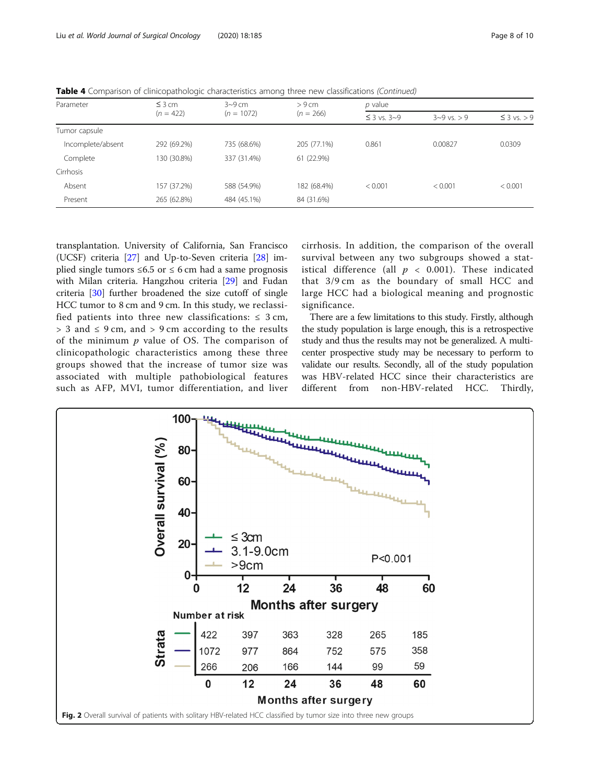<span id="page-7-0"></span>

|  |  | Table 4 Comparison of clinicopathologic characteristics among three new classifications (Continued) |
|--|--|-----------------------------------------------------------------------------------------------------|
|  |  |                                                                                                     |

| Parameter         | $\leq$ 3 cm<br>$(n = 422)$ | $3-9$ cm     | > 9 cm      | $p$ value        |                   |                  |
|-------------------|----------------------------|--------------|-------------|------------------|-------------------|------------------|
|                   |                            | $(n = 1072)$ | $(n = 266)$ | $\leq$ 3 vs. 3~9 | $3 - 9$ vs. $> 9$ | $\leq$ 3 vs. > 9 |
| Tumor capsule     |                            |              |             |                  |                   |                  |
| Incomplete/absent | 292 (69.2%)                | 735 (68.6%)  | 205 (77.1%) | 0.861            | 0.00827           | 0.0309           |
| Complete          | 130 (30.8%)                | 337 (31.4%)  | 61 (22.9%)  |                  |                   |                  |
| Cirrhosis         |                            |              |             |                  |                   |                  |
| Absent            | 157 (37.2%)                | 588 (54.9%)  | 182 (68.4%) | < 0.001          | < 0.001           | < 0.001          |
| Present           | 265 (62.8%)                | 484 (45.1%)  | 84 (31.6%)  |                  |                   |                  |
|                   |                            |              |             |                  |                   |                  |

transplantation. University of California, San Francisco (UCSF) criteria [\[27](#page-9-0)] and Up-to-Seven criteria [[28](#page-9-0)] implied single tumors  $\leq 6.5$  or  $\leq 6$  cm had a same prognosis with Milan criteria. Hangzhou criteria [[29](#page-9-0)] and Fudan criteria [\[30\]](#page-9-0) further broadened the size cutoff of single HCC tumor to 8 cm and 9 cm. In this study, we reclassified patients into three new classifications:  $\leq 3$  cm,  $> 3$  and  $\leq 9$  cm, and  $> 9$  cm according to the results of the minimum  $p$  value of OS. The comparison of clinicopathologic characteristics among these three groups showed that the increase of tumor size was associated with multiple pathobiological features such as AFP, MVI, tumor differentiation, and liver cirrhosis. In addition, the comparison of the overall survival between any two subgroups showed a statistical difference (all  $p < 0.001$ ). These indicated that 3/9 cm as the boundary of small HCC and large HCC had a biological meaning and prognostic significance.

There are a few limitations to this study. Firstly, although the study population is large enough, this is a retrospective study and thus the results may not be generalized. A multicenter prospective study may be necessary to perform to validate our results. Secondly, all of the study population was HBV-related HCC since their characteristics are different from non-HBV-related HCC. Thirdly,

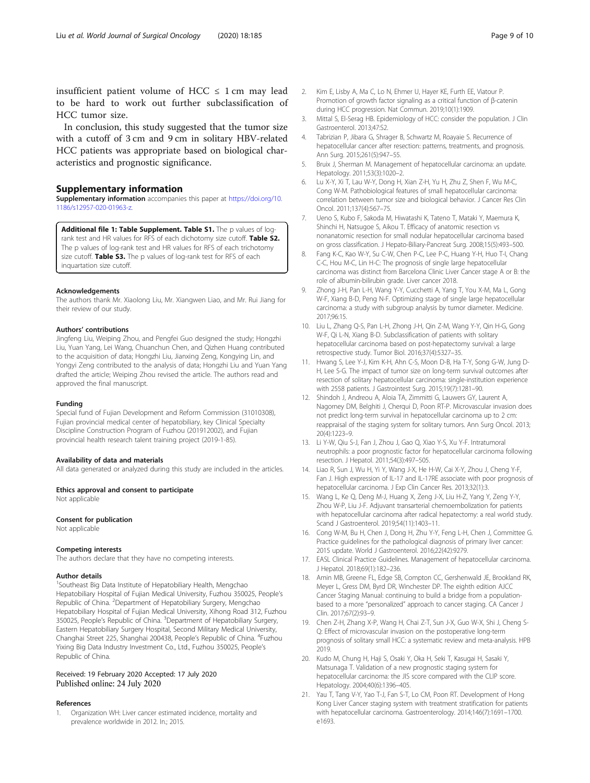<span id="page-8-0"></span>In conclusion, this study suggested that the tumor size with a cutoff of 3 cm and 9 cm in solitary HBV-related HCC patients was appropriate based on biological characteristics and prognostic significance.

### Supplementary information

Supplementary information accompanies this paper at [https://doi.org/10.](https://doi.org/10.1186/s12957-020-01963-z) [1186/s12957-020-01963-z.](https://doi.org/10.1186/s12957-020-01963-z)

Additional file 1: Table Supplement. Table S1. The p values of logrank test and HR values for RFS of each dichotomy size cutoff. Table S2. The p values of log-rank test and HR values for RFS of each trichotomy size cutoff. Table S3. The p values of log-rank test for RFS of each inquartation size cutoff.

#### Acknowledgements

The authors thank Mr. Xiaolong Liu, Mr. Xiangwen Liao, and Mr. Rui Jiang for their review of our study.

#### Authors' contributions

Jingfeng Liu, Weiping Zhou, and Pengfei Guo designed the study; Hongzhi Liu, Yuan Yang, Lei Wang, Chuanchun Chen, and Qizhen Huang contributed to the acquisition of data; Hongzhi Liu, Jianxing Zeng, Kongying Lin, and Yongyi Zeng contributed to the analysis of data; Hongzhi Liu and Yuan Yang drafted the article; Weiping Zhou revised the article. The authors read and approved the final manuscript.

#### Funding

Special fund of Fujian Development and Reform Commission (31010308), Fujian provincial medical center of hepatobiliary, key Clinical Specialty Discipline Construction Program of Fuzhou (201912002), and Fujian provincial health research talent training project (2019-1-85).

#### Availability of data and materials

All data generated or analyzed during this study are included in the articles.

Ethics approval and consent to participate

Not applicable

# Consent for publication

Not applicable

#### Competing interests

The authors declare that they have no competing interests.

#### Author details

<sup>1</sup>Southeast Big Data Institute of Hepatobiliary Health, Mengchao Hepatobiliary Hospital of Fujian Medical University, Fuzhou 350025, People's Republic of China. <sup>2</sup>Department of Hepatobiliary Surgery, Mengchao Hepatobiliary Hospital of Fujian Medical University, Xihong Road 312, Fuzhou 350025, People's Republic of China. <sup>3</sup>Department of Hepatobiliary Surgery, Eastern Hepatobiliary Surgery Hospital, Second Military Medical University, Changhai Street 225, Shanghai 200438, People's Republic of China. <sup>4</sup>Fuzhou Yixing Big Data Industry Investment Co., Ltd., Fuzhou 350025, People's Republic of China.

#### Received: 19 February 2020 Accepted: 17 July 2020 Published online: 24 July 2020

#### References

1. Organization WH: Liver cancer estimated incidence, mortality and prevalence worldwide in 2012. In.; 2015.

- 2. Kim E, Lisby A, Ma C, Lo N, Ehmer U, Hayer KE, Furth EE, Viatour P. Promotion of growth factor signaling as a critical function of β-catenin during HCC progression. Nat Commun. 2019;10(1):1909.
- 3. Mittal S, El-Serag HB. Epidemiology of HCC: consider the population. J Clin Gastroenterol. 2013;47:S2.
- 4. Tabrizian P, Jibara G, Shrager B, Schwartz M, Roayaie S. Recurrence of hepatocellular cancer after resection: patterns, treatments, and prognosis. Ann Surg. 2015;261(5):947–55.
- 5. Bruix J, Sherman M. Management of hepatocellular carcinoma: an update. Hepatology. 2011;53(3):1020–2.
- 6. Lu X-Y, Xi T, Lau W-Y, Dong H, Xian Z-H, Yu H, Zhu Z, Shen F, Wu M-C, Cong W-M. Pathobiological features of small hepatocellular carcinoma: correlation between tumor size and biological behavior. J Cancer Res Clin Oncol. 2011;137(4):567–75.
- 7. Ueno S, Kubo F, Sakoda M, Hiwatashi K, Tateno T, Mataki Y, Maemura K, Shinchi H, Natsugoe S, Aikou T. Efficacy of anatomic resection vs nonanatomic resection for small nodular hepatocellular carcinoma based on gross classification. J Hepato-Biliary-Pancreat Surg. 2008;15(5):493–500.
- 8. Fang K-C, Kao W-Y, Su C-W, Chen P-C, Lee P-C, Huang Y-H, Huo T-I, Chang C-C, Hou M-C, Lin H-C: The prognosis of single large hepatocellular carcinoma was distinct from Barcelona Clinic Liver Cancer stage A or B: the role of albumin-bilirubin grade. Liver cancer 2018.
- 9. Zhong J-H, Pan L-H, Wang Y-Y, Cucchetti A, Yang T, You X-M, Ma L, Gong W-F, Xiang B-D, Peng N-F. Optimizing stage of single large hepatocellular carcinoma: a study with subgroup analysis by tumor diameter. Medicine. 2017;96:15.
- 10. Liu L, Zhang Q-S, Pan L-H, Zhong J-H, Qin Z-M, Wang Y-Y, Qin H-G, Gong W-F, Qi L-N, Xiang B-D. Subclassification of patients with solitary hepatocellular carcinoma based on post-hepatectomy survival: a large retrospective study. Tumor Biol. 2016;37(4):5327–35.
- 11. Hwang S, Lee Y-J, Kim K-H, Ahn C-S, Moon D-B, Ha T-Y, Song G-W, Jung D-H, Lee S-G. The impact of tumor size on long-term survival outcomes after resection of solitary hepatocellular carcinoma: single-institution experience with 2558 patients. J Gastrointest Surg. 2015;19(7):1281–90.
- 12. Shindoh J, Andreou A, Aloia TA, Zimmitti G, Lauwers GY, Laurent A, Nagorney DM, Belghiti J, Cherqui D, Poon RT-P. Microvascular invasion does not predict long-term survival in hepatocellular carcinoma up to 2 cm: reappraisal of the staging system for solitary tumors. Ann Surg Oncol. 2013; 20(4):1223–9.
- 13. Li Y-W, Qiu S-J, Fan J, Zhou J, Gao Q, Xiao Y-S, Xu Y-F. Intratumoral neutrophils: a poor prognostic factor for hepatocellular carcinoma following resection. J Hepatol. 2011;54(3):497–505.
- 14. Liao R, Sun J, Wu H, Yi Y, Wang J-X, He H-W, Cai X-Y, Zhou J, Cheng Y-F, Fan J. High expression of IL-17 and IL-17RE associate with poor prognosis of hepatocellular carcinoma. J Exp Clin Cancer Res. 2013;32(1):3.
- 15. Wang L, Ke Q, Deng M-J, Huang X, Zeng J-X, Liu H-Z, Yang Y, Zeng Y-Y, Zhou W-P, Liu J-F. Adjuvant transarterial chemoembolization for patients with hepatocellular carcinoma after radical hepatectomy: a real world study. Scand J Gastroenterol. 2019;54(11):1403–11.
- 16. Cong W-M, Bu H, Chen J, Dong H, Zhu Y-Y, Feng L-H, Chen J, Committee G. Practice guidelines for the pathological diagnosis of primary liver cancer: 2015 update. World J Gastroenterol. 2016;22(42):9279.
- 17. EASL Clinical Practice Guidelines. Management of hepatocellular carcinoma. J Hepatol. 2018;69(1):182–236.
- 18. Amin MB, Greene FL, Edge SB, Compton CC, Gershenwald JE, Brookland RK, Meyer L, Gress DM, Byrd DR, Winchester DP. The eighth edition AJCC Cancer Staging Manual: continuing to build a bridge from a populationbased to a more "personalized" approach to cancer staging. CA Cancer J Clin. 2017;67(2):93–9.
- 19. Chen Z-H, Zhang X-P, Wang H, Chai Z-T, Sun J-X, Guo W-X, Shi J, Cheng S-Q: Effect of microvascular invasion on the postoperative long-term prognosis of solitary small HCC: a systematic review and meta-analysis. HPB 2019.
- 20. Kudo M, Chung H, Haji S, Osaki Y, Oka H, Seki T, Kasugai H, Sasaki Y, Matsunaga T. Validation of a new prognostic staging system for hepatocellular carcinoma: the JIS score compared with the CLIP score. Hepatology. 2004;40(6):1396–405.
- 21. Yau T, Tang V-Y, Yao T-J, Fan S-T, Lo CM, Poon RT. Development of Hong Kong Liver Cancer staging system with treatment stratification for patients with hepatocellular carcinoma. Gastroenterology. 2014;146(7):1691–1700. e1693.